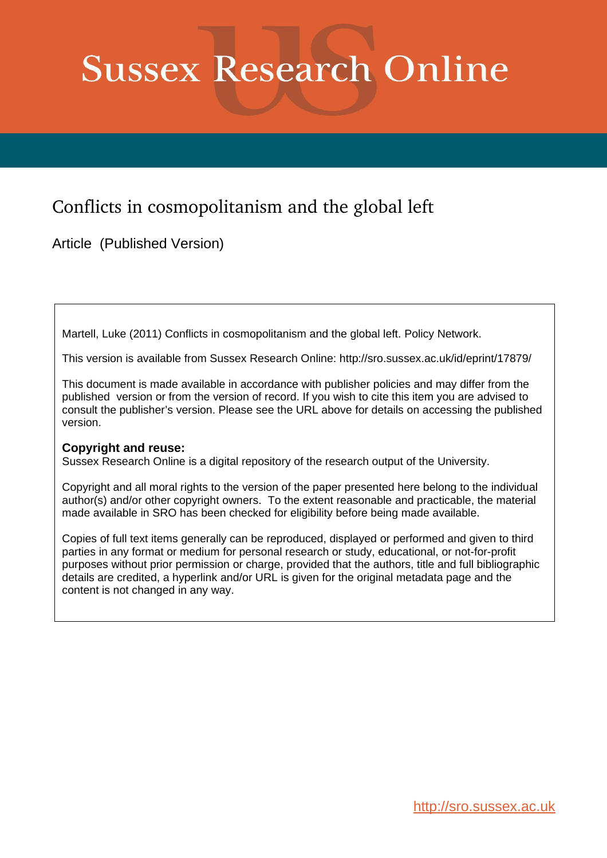# **Sussex Research Online**

# Conflicts in cosmopolitanism and the global left

Article (Published Version)

Martell, Luke (2011) Conflicts in cosmopolitanism and the global left. Policy Network.

This version is available from Sussex Research Online: http://sro.sussex.ac.uk/id/eprint/17879/

This document is made available in accordance with publisher policies and may differ from the published version or from the version of record. If you wish to cite this item you are advised to consult the publisher's version. Please see the URL above for details on accessing the published version.

# **Copyright and reuse:**

Sussex Research Online is a digital repository of the research output of the University.

Copyright and all moral rights to the version of the paper presented here belong to the individual author(s) and/or other copyright owners. To the extent reasonable and practicable, the material made available in SRO has been checked for eligibility before being made available.

Copies of full text items generally can be reproduced, displayed or performed and given to third parties in any format or medium for personal research or study, educational, or not-for-profit purposes without prior permission or charge, provided that the authors, title and full bibliographic details are credited, a hyperlink and/or URL is given for the original metadata page and the content is not changed in any way.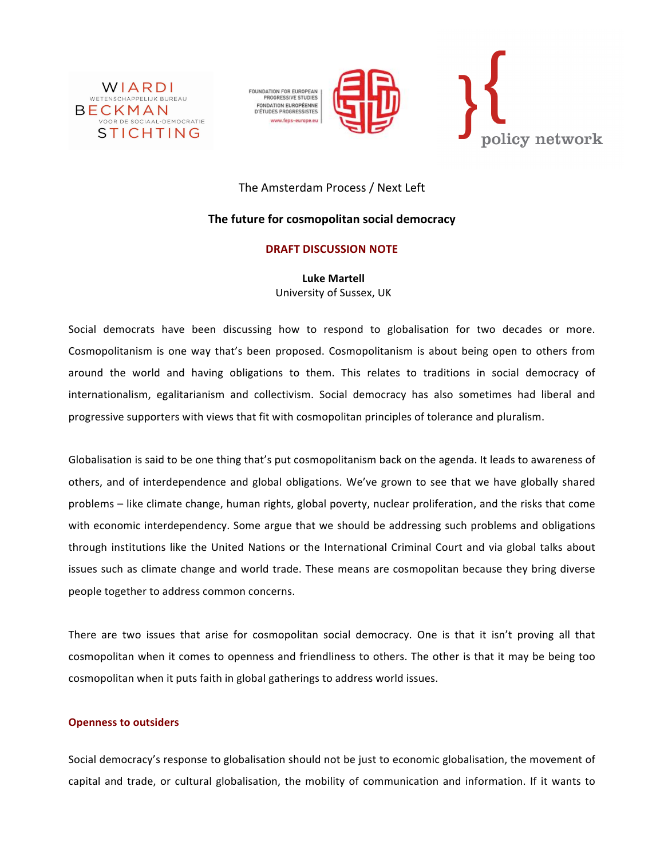

FOUNDATION FOR EUROPEAN<br>PROGRESSIVE STUDIES FONDATION EUROPÉENNE<br>D'ÉTUDES PROGRESSISTES ww.feps-europe.eu





# The Amsterdam Process / Next Left

## **The future for cosmopolitan social democracy**

### **DRAFT!DISCUSSION!NOTE**

**Luke!Martell** University of Sussex, UK

Social democrats have been discussing how to respond to globalisation for two decades or more. Cosmopolitanism is one way that's been proposed. Cosmopolitanism is about being open to others from around the world and having obligations to them. This relates to traditions in social democracy of internationalism, egalitarianism and collectivism. Social democracy has also sometimes had liberal and progressive supporters with views that fit with cosmopolitan principles of tolerance and pluralism.

Globalisation is said to be one thing that's put cosmopolitanism back on the agenda. It leads to awareness of others, and of interdependence and global obligations. We've grown to see that we have globally shared problems – like climate change, human rights, global poverty, nuclear proliferation, and the risks that come with economic interdependency. Some argue that we should be addressing such problems and obligations through institutions like the United Nations or the International Criminal Court and via global talks about issues such as climate change and world trade. These means are cosmopolitan because they bring diverse people together to address common concerns.

There are two issues that arise for cosmopolitan social democracy. One is that it isn't proving all that cosmopolitan when it comes to openness and friendliness to others. The other is that it may be being too cosmopolitan when it puts faith in global gatherings to address world issues.

#### **Openness to outsiders**

Social democracy's response to globalisation should not be just to economic globalisation, the movement of capital and trade, or cultural globalisation, the mobility of communication and information. If it wants to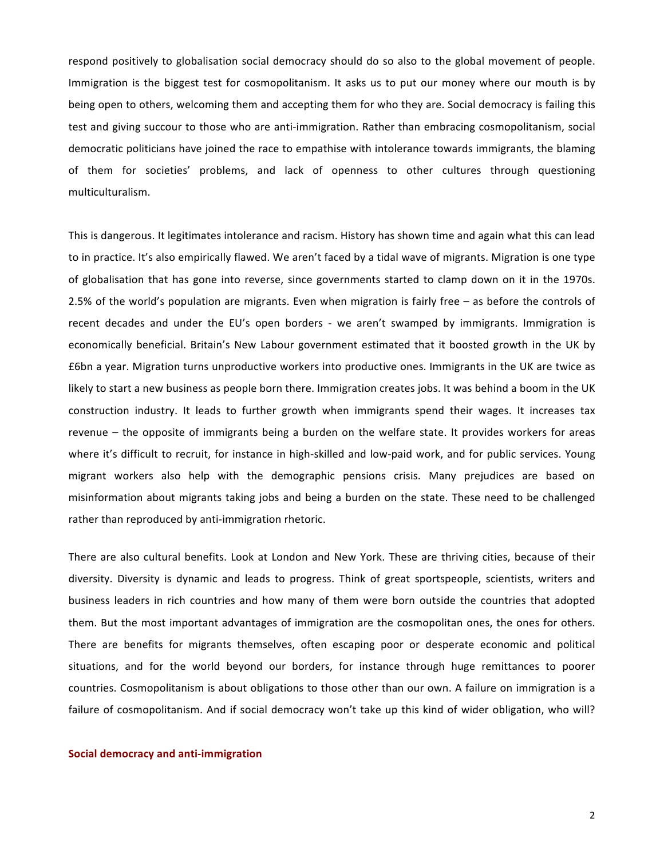respond positively to globalisation social democracy should do so also to the global movement of people. Immigration is the biggest test for cosmopolitanism. It asks us to put our money where our mouth is by being open to others, welcoming them and accepting them for who they are. Social democracy is failing this test and giving succour to those who are anti-immigration. Rather than embracing cosmopolitanism, social democratic politicians have joined the race to empathise with intolerance towards immigrants, the blaming of them for societies' problems, and lack of openness to other cultures through questioning multiculturalism.!

This is dangerous. It legitimates intolerance and racism. History has shown time and again what this can lead to in practice. It's also empirically flawed. We aren't faced by a tidal wave of migrants. Migration is one type of globalisation that has gone into reverse, since governments started to clamp down on it in the 1970s. 2.5% of the world's population are migrants. Even when migration is fairly free – as before the controls of recent decades and under the EU's open borders - we aren't swamped by immigrants. Immigration is economically beneficial. Britain's New Labour government estimated that it boosted growth in the UK by £6bn a year. Migration turns unproductive workers into productive ones. Immigrants in the UK are twice as likely to start a new business as people born there. Immigration creates jobs. It was behind a boom in the UK construction industry. It leads to further growth when immigrants spend their wages. It increases tax revenue – the opposite of immigrants being a burden on the welfare state. It provides workers for areas where it's difficult to recruit, for instance in high-skilled and low-paid work, and for public services. Young migrant workers also help with the demographic pensions crisis. Many prejudices are based on misinformation about migrants taking jobs and being a burden on the state. These need to be challenged rather than reproduced by anti-immigration rhetoric.

There are also cultural benefits. Look at London and New York. These are thriving cities, because of their diversity. Diversity is dynamic and leads to progress. Think of great sportspeople, scientists, writers and business leaders in rich countries and how many of them were born outside the countries that adopted them. But the most important advantages of immigration are the cosmopolitan ones, the ones for others. There are benefits for migrants themselves, often escaping poor or desperate economic and political situations, and for the world beyond our borders, for instance through huge remittances to poorer countries. Cosmopolitanism is about obligations to those other than our own. A failure on immigration is a failure of cosmopolitanism. And if social democracy won't take up this kind of wider obligation, who will?

#### **Social democracy and anti-immigration**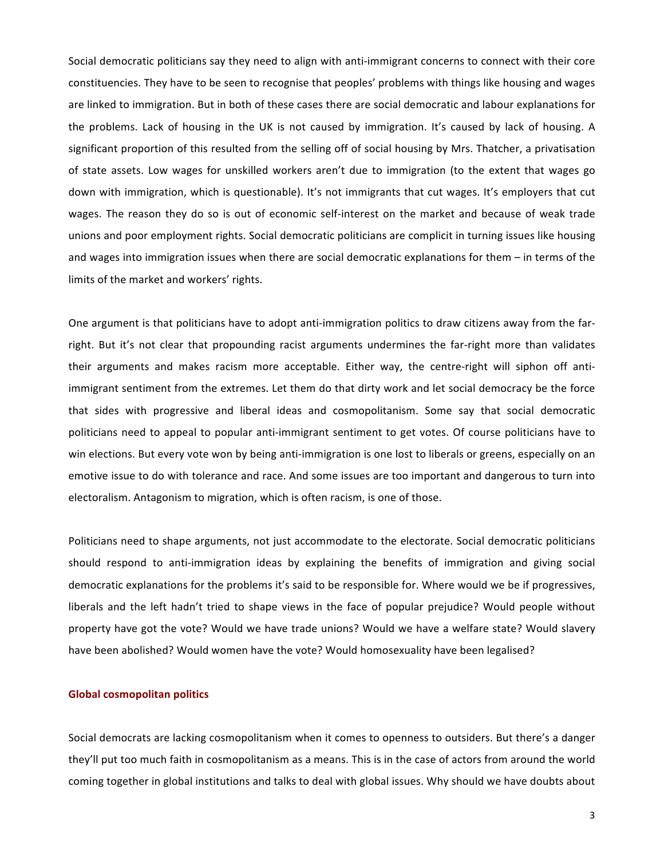Social democratic politicians say they need to align with anti-immigrant concerns to connect with their core constituencies. They have to be seen to recognise that peoples' problems with things like housing and wages are linked to immigration. But in both of these cases there are social democratic and labour explanations for the problems. Lack of housing in the UK is not caused by immigration. It's caused by lack of housing. A significant proportion of this resulted from the selling off of social housing by Mrs. Thatcher, a privatisation of state assets. Low wages for unskilled workers aren't due to immigration (to the extent that wages go down with immigration, which is questionable). It's not immigrants that cut wages. It's employers that cut wages. The reason they do so is out of economic self-interest on the market and because of weak trade unions and poor employment rights. Social democratic politicians are complicit in turning issues like housing and wages into immigration issues when there are social democratic explanations for them – in terms of the limits of the market and workers' rights.

One argument is that politicians have to adopt anti-immigration politics to draw citizens away from the farright. But it's not clear that propounding racist arguments undermines the far-right more than validates their arguments and makes racism more acceptable. Either way, the centre-right will siphon off antiimmigrant sentiment from the extremes. Let them do that dirty work and let social democracy be the force that sides with progressive and liberal ideas and cosmopolitanism. Some say that social democratic politicians need to appeal to popular anti-immigrant sentiment to get votes. Of course politicians have to win elections. But every vote won by being anti-immigration is one lost to liberals or greens, especially on an emotive issue to do with tolerance and race. And some issues are too important and dangerous to turn into electoralism. Antagonism to migration, which is often racism, is one of those.

Politicians need to shape arguments, not just accommodate to the electorate. Social democratic politicians should respond to anti-immigration ideas by explaining the benefits of immigration and giving social democratic explanations for the problems it's said to be responsible for. Where would we be if progressives, liberals and the left hadn't tried to shape views in the face of popular prejudice? Would people without property have got the vote? Would we have trade unions? Would we have a welfare state? Would slavery have been abolished? Would women have the vote? Would homosexuality have been legalised?

#### **Global cosmopolitan politics**

Social democrats are lacking cosmopolitanism when it comes to openness to outsiders. But there's a danger they'll put too much faith in cosmopolitanism as a means. This is in the case of actors from around the world coming together in global institutions and talks to deal with global issues. Why should we have doubts about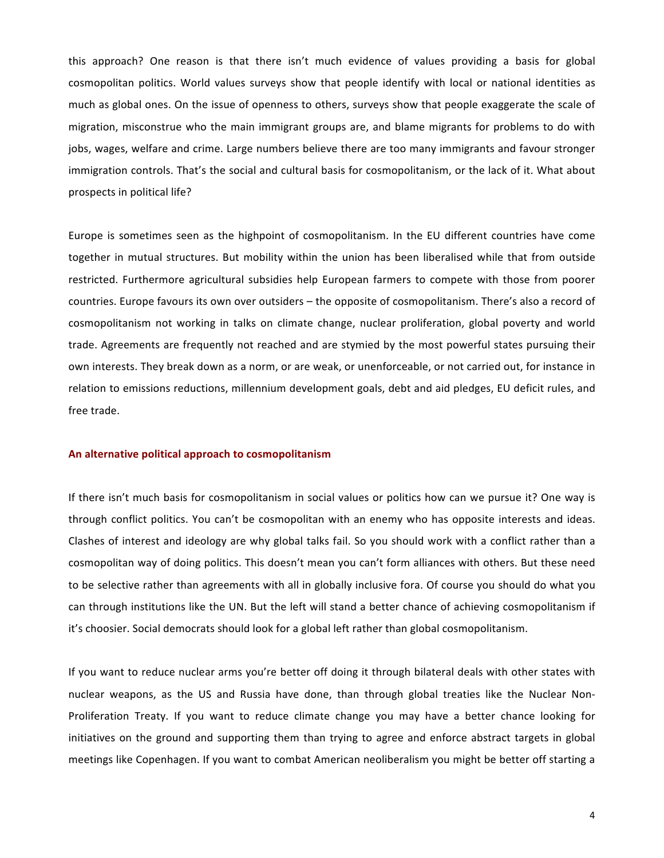this approach? One reason is that there isn't much evidence of values providing a basis for global cosmopolitan politics. World values surveys show that people identify with local or national identities as much as global ones. On the issue of openness to others, surveys show that people exaggerate the scale of migration, misconstrue who the main immigrant groups are, and blame migrants for problems to do with jobs, wages, welfare and crime. Large numbers believe there are too many immigrants and favour stronger immigration controls. That's the social and cultural basis for cosmopolitanism, or the lack of it. What about prospects in political life?

Europe is sometimes seen as the highpoint of cosmopolitanism. In the EU different countries have come together in mutual structures. But mobility within the union has been liberalised while that from outside restricted. Furthermore agricultural subsidies help European farmers to compete with those from poorer countries. Europe favours its own over outsiders – the opposite of cosmopolitanism. There's also a record of cosmopolitanism not working in talks on climate change, nuclear proliferation, global poverty and world trade. Agreements are frequently not reached and are stymied by the most powerful states pursuing their own interests. They break down as a norm, or are weak, or unenforceable, or not carried out, for instance in relation to emissions reductions, millennium development goals, debt and aid pledges, EU deficit rules, and free trade.

#### An alternative political approach to cosmopolitanism

If there isn't much basis for cosmopolitanism in social values or politics how can we pursue it? One way is through conflict politics. You can't be cosmopolitan with an enemy who has opposite interests and ideas. Clashes of interest and ideology are why global talks fail. So you should work with a conflict rather than a cosmopolitan way of doing politics. This doesn't mean you can't form alliances with others. But these need to be selective rather than agreements with all in globally inclusive fora. Of course you should do what you can through institutions like the UN. But the left will stand a better chance of achieving cosmopolitanism if it's choosier. Social democrats should look for a global left rather than global cosmopolitanism.

If you want to reduce nuclear arms you're better off doing it through bilateral deals with other states with nuclear weapons, as the US and Russia have done, than through global treaties like the Nuclear Non-Proliferation Treaty. If you want to reduce climate change you may have a better chance looking for initiatives on the ground and supporting them than trying to agree and enforce abstract targets in global meetings like Copenhagen. If you want to combat American neoliberalism you might be better off starting a